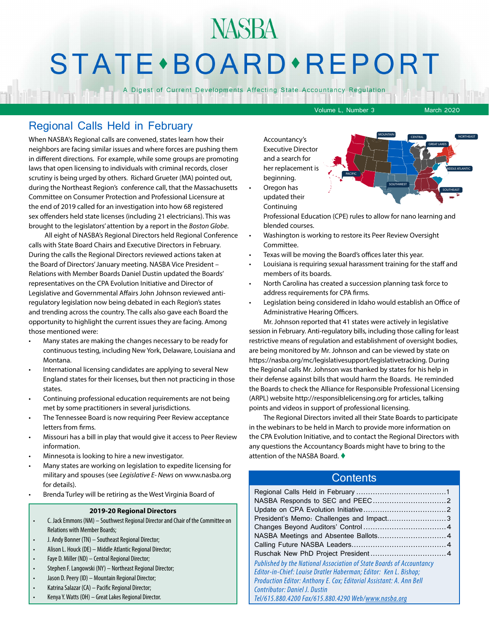# NASBA **STATE** · BOARD · REPORT

A Digest of Current Developments Affecting State Accountancy Regulation

Volume L, Number 3 March 2020

## Regional Calls Held in February

When NASBA's Regional calls are convened, states learn how their neighbors are facing similar issues and where forces are pushing them in different directions. For example, while some groups are promoting laws that open licensing to individuals with criminal records, closer scrutiny is being urged by others. Richard Grueter (MA) pointed out, during the Northeast Region's conference call, that the Massachusetts Committee on Consumer Protection and Professional Licensure at the end of 2019 called for an investigation into how 68 registered sex offenders held state licenses (including 21 electricians). This was brought to the legislators' attention by a report in the *Boston Globe*.

 All eight of NASBA's Regional Directors held Regional Conference calls with State Board Chairs and Executive Directors in February. During the calls the Regional Directors reviewed actions taken at the Board of Directors' January meeting. NASBA Vice President – Relations with Member Boards Daniel Dustin updated the Boards' representatives on the CPA Evolution Initiative and Director of Legislative and Governmental Affairs John Johnson reviewed antiregulatory legislation now being debated in each Region's states and trending across the country. The calls also gave each Board the opportunity to highlight the current issues they are facing. Among those mentioned were:

- Many states are making the changes necessary to be ready for continuous testing, including New York, Delaware, Louisiana and Montana.
- International licensing candidates are applying to several New England states for their licenses, but then not practicing in those states.
- Continuing professional education requirements are not being met by some practitioners in several jurisdictions.
- The Tennessee Board is now requiring Peer Review acceptance letters from firms.
- Missouri has a bill in play that would give it access to Peer Review information.
- Minnesota is looking to hire a new investigator.
- Many states are working on legislation to expedite licensing for military and spouses (see *Legislative E- News* on www.nasba.org for details).
- Brenda Turley will be retiring as the West Virginia Board of

#### **2019-20 Regional Directors**

- C. Jack Emmons (NM) Southwest Regional Director and Chair of the Committee on Relations with Member Boards;
- J. Andy Bonner (TN) Southeast Regional Director;
- Alison L. Houck (DE) Middle Atlantic Regional Director;
- Faye D. Miller (ND) Central Regional Director;
- Stephen F. Langowski (NY) Northeast Regional Director;
- Jason D. Peery (ID) Mountain Regional Director;
- Katrina Salazar (CA) Pacific Regional Director;
- Kenya Y. Watts (OH) Great Lakes Regional Director.

Accountancy's Executive Director and a search for her replacement is beginning. • Oregon has

updated their Continuing



Professional Education (CPE) rules to allow for nano learning and blended courses.

- Washington is working to restore its Peer Review Oversight Committee.
- Texas will be moving the Board's offices later this year.
- Louisiana is requiring sexual harassment training for the staff and members of its boards.
- North Carolina has created a succession planning task force to address requirements for CPA firms.
- Legislation being considered in Idaho would establish an Office of Administrative Hearing Officers.

Mr. Johnson reported that 41 states were actively in legislative session in February. Anti-regulatory bills, including those calling for least restrictive means of regulation and establishment of oversight bodies, are being monitored by Mr. Johnson and can be viewed by state on https://nasba.org/mc/legislativesupport/legislativetracking. During the Regional calls Mr. Johnson was thanked by states for his help in their defense against bills that would harm the Boards. He reminded the Boards to check the Alliance for Responsible Professional Licensing (ARPL) website http://responsiblelicensing.org for articles, talking points and videos in support of professional licensing.

The Regional Directors invited all their State Boards to participate in the webinars to be held in March to provide more information on the CPA Evolution Initiative, and to contact the Regional Directors with any questions the Accountancy Boards might have to bring to the attention of the NASBA Board.  $\blacklozenge$ 

#### **Contents**

| President's Memo: Challenges and Impact3 |
|------------------------------------------|
|                                          |
|                                          |
|                                          |
|                                          |
|                                          |
|                                          |
|                                          |
|                                          |
|                                          |
|                                          |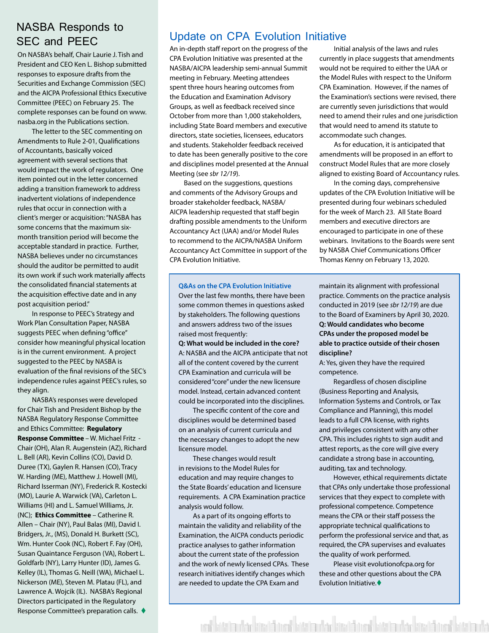## <span id="page-1-0"></span>NASBA Responds to SEC and PEEC

On NASBA's behalf, Chair Laurie J. Tish and President and CEO Ken L. Bishop submitted responses to exposure drafts from the Securities and Exchange Commission (SEC) and the AICPA Professional Ethics Executive Committee (PEEC) on February 25. The complete responses can be found on www. nasba.org in the Publications section.

The letter to the SEC commenting on Amendments to Rule 2-01, Qualifications of Accountants, basically voiced agreement with several sections that would impact the work of regulators. One item pointed out in the letter concerned adding a transition framework to address inadvertent violations of independence rules that occur in connection with a client's merger or acquisition: "NASBA has some concerns that the maximum sixmonth transition period will become the acceptable standard in practice. Further, NASBA believes under no circumstances should the auditor be permitted to audit its own work if such work materially affects the consolidated financial statements at the acquisition effective date and in any post acquisition period."

In response to PEEC's Strategy and Work Plan Consultation Paper, NASBA suggests PEEC when defining "office" consider how meaningful physical location is in the current environment. A project suggested to the PEEC by NASBA is evaluation of the final revisions of the SEC's independence rules against PEEC's rules, so they align.

NASBA's responses were developed for Chair Tish and President Bishop by the NASBA Regulatory Response Committee and Ethics Committee: **Regulatory Response Committee** – W. Michael Fritz - Chair (OH), Alan R. Augenstein (AZ), Richard L. Bell (AR), Kevin Collins (CO), David D. Duree (TX), Gaylen R. Hansen (CO), Tracy W. Harding (ME), Matthew J. Howell (MI), Richard Isserman (NY), Frederick R. Kostecki (MO), Laurie A. Warwick (VA), Carleton L. Williams (HI) and L. Samuel Williams, Jr. (NC); **Ethics Committee** – Catherine R. Allen – Chair (NY), Paul Balas (MI), David I. Bridgers, Jr., (MS), Donald H. Burkett (SC), Wm. Hunter Cook (NC), Robert F. Fay (OH), Susan Quaintance Ferguson (VA), Robert L. Goldfarb (NY), Larry Hunter (ID), James G. Kelley (IL), Thomas G. Neill (WA), Michael L. Nickerson (ME), Steven M. Platau (FL), and Lawrence A. Wojcik (IL). NASBA's Regional Directors participated in the Regulatory Response Committee's preparation calls.  $\blacklozenge$ 

## Update on CPA Evolution Initiative

An in-depth staff report on the progress of the CPA Evolution Initiative was presented at the NASBA/AICPA leadership semi-annual Summit meeting in February. Meeting attendees spent three hours hearing outcomes from the Education and Examination Advisory Groups, as well as feedback received since October from more than 1,000 stakeholders, including State Board members and executive directors, state societies, licensees, educators and students. Stakeholder feedback received to date has been generally positive to the core and disciplines model presented at the Annual Meeting (see *sbr 12/19*).

Based on the suggestions, questions and comments of the Advisory Groups and broader stakeholder feedback, NASBA/ AICPA leadership requested that staff begin drafting possible amendments to the Uniform Accountancy Act (UAA) and/or Model Rules to recommend to the AICPA/NASBA Uniform Accountancy Act Committee in support of the CPA Evolution Initiative.

#### **Q&As on the CPA Evolution Initiative**

Over the last few months, there have been some common themes in questions asked by stakeholders. The following questions and answers address two of the issues raised most frequently:

**Q: What would be included in the core?**  A: NASBA and the AICPA anticipate that not all of the content covered by the current CPA Examination and curricula will be considered "core" under the new licensure model. Instead, certain advanced content could be incorporated into the disciplines.

The specific content of the core and disciplines would be determined based on an analysis of current curricula and the necessary changes to adopt the new licensure model.

These changes would result in revisions to the Model Rules for education and may require changes to the State Boards' education and licensure requirements. A CPA Examination practice analysis would follow.

As a part of its ongoing efforts to maintain the validity and reliability of the Examination, the AICPA conducts periodic practice analyses to gather information about the current state of the profession and the work of newly licensed CPAs. These research initiatives identify changes which are needed to update the CPA Exam and

Initial analysis of the laws and rules currently in place suggests that amendments would not be required to either the UAA or the Model Rules with respect to the Uniform CPA Examination. However, if the names of the Examination's sections were revised, there are currently seven jurisdictions that would need to amend their rules and one jurisdiction that would need to amend its statute to accommodate such changes.

As for education, it is anticipated that amendments will be proposed in an effort to construct Model Rules that are more closely aligned to existing Board of Accountancy rules.

In the coming days, comprehensive updates of the CPA Evolution Initiative will be presented during four webinars scheduled for the week of March 23. All State Board members and executive directors are encouraged to participate in one of these webinars. Invitations to the Boards were sent by NASBA Chief Communications Officer Thomas Kenny on February 13, 2020.

maintain its alignment with professional practice. Comments on the practice analysis conducted in 2019 (see *sbr 12/19*) are due to the Board of Examiners by April 30, 2020. **Q: Would candidates who become CPAs under the proposed model be able to practice outside of their chosen discipline?** 

A: Yes, given they have the required competence.

Regardless of chosen discipline (Business Reporting and Analysis, Information Systems and Controls, or Tax Compliance and Planning), this model leads to a full CPA license, with rights and privileges consistent with any other CPA. This includes rights to sign audit and attest reports, as the core will give every candidate a strong base in accounting, auditing, tax and technology.

However, ethical requirements dictate that CPAs only undertake those professional services that they expect to complete with professional competence. Competence means the CPA or their staff possess the appropriate technical qualifications to perform the professional service and that, as required, the CPA supervises and evaluates the quality of work performed.

Please visit evolutionofcpa.org for these and other questions about the CPA Evolution Initiative. $\blacklozenge$ 

ent kieden utzie kiedetioent kieden dzie kiedetioent bietaten dzie kiedetioent kieden dzi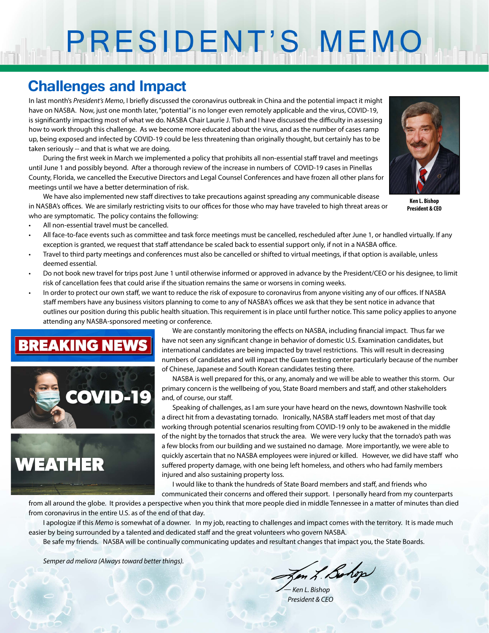# PRESIDENT'S MEMO

## **Challenges and Impact**

In last month's *President's Memo*, I briefly discussed the coronavirus outbreak in China and the potential impact it might have on NASBA. Now, just one month later, "potential" is no longer even remotely applicable and the virus, COVID-19, is significantly impacting most of what we do. NASBA Chair Laurie J. Tish and I have discussed the difficulty in assessing how to work through this challenge. As we become more educated about the virus, and as the number of cases ramp up, being exposed and infected by COVID-19 could be less threatening than originally thought, but certainly has to be taken seriously -- and that is what we are doing.

During the first week in March we implemented a policy that prohibits all non-essential staff travel and meetings until June 1 and possibly beyond. After a thorough review of the increase in numbers of COVID-19 cases in Pinellas County, Florida, we cancelled the Executive Directors and Legal Counsel Conferences and have frozen all other plans for meetings until we have a better determination of risk.

We have also implemented new staff directives to take precautions against spreading any communicable disease in NASBA's offices. We are similarly restricting visits to our offices for those who may have traveled to high threat areas or who are symptomatic. The policy contains the following:



**Ken L. Bishop President & CEO**

- All non-essential travel must be cancelled.
- All face-to-face events such as committee and task force meetings must be cancelled, rescheduled after June 1, or handled virtually. If any exception is granted, we request that staff attendance be scaled back to essential support only, if not in a NASBA office.
- Travel to third party meetings and conferences must also be cancelled or shifted to virtual meetings, if that option is available, unless deemed essential.
- Do not book new travel for trips post June 1 until otherwise informed or approved in advance by the President/CEO or his designee, to limit risk of cancellation fees that could arise if the situation remains the same or worsens in coming weeks.
- In order to protect our own staff, we want to reduce the risk of exposure to coronavirus from anyone visiting any of our offices. If NASBA staff members have any business visitors planning to come to any of NASBA's offices we ask that they be sent notice in advance that outlines our position during this public health situation. This requirement is in place until further notice. This same policy applies to anyone attending any NASBA-sponsored meeting or conference.

## **BREAKING NEWS**





We are constantly monitoring the effects on NASBA, including financial impact. Thus far we have not seen any significant change in behavior of domestic U.S. Examination candidates, but international candidates are being impacted by travel restrictions. This will result in decreasing numbers of candidates and will impact the Guam testing center particularly because of the number of Chinese, Japanese and South Korean candidates testing there.

NASBA is well prepared for this, or any, anomaly and we will be able to weather this storm. Our primary concern is the wellbeing of you, State Board members and staff, and other stakeholders and, of course, our staff.

Speaking of challenges, as I am sure your have heard on the news, downtown Nashville took a direct hit from a devastating tornado. Ironically, NASBA staff leaders met most of that day working through potential scenarios resulting from COVID-19 only to be awakened in the middle of the night by the tornados that struck the area. We were very lucky that the tornado's path was a few blocks from our building and we sustained no damage. More importantly, we were able to quickly ascertain that no NASBA employees were injured or killed. However, we did have staff who suffered property damage, with one being left homeless, and others who had family members injured and also sustaining property loss.

I would like to thank the hundreds of State Board members and staff, and friends who communicated their concerns and offered their support. I personally heard from my counterparts

from all around the globe. It provides a perspective when you think that more people died in middle Tennessee in a matter of minutes than died from coronavirus in the entire U.S. as of the end of that day.

I apologize if this *Memo* is somewhat of a downer. In my job, reacting to challenges and impact comes with the territory. It is made much easier by being surrounded by a talented and dedicated staff and the great volunteers who govern NASBA.

Be safe my friends. NASBA will be continually communicating updates and resultant changes that impact you, the State Boards.

*Semper ad meliora (Always toward better things).*

Jen L. Bohop

*— Ken L. Bishop President & CEO*